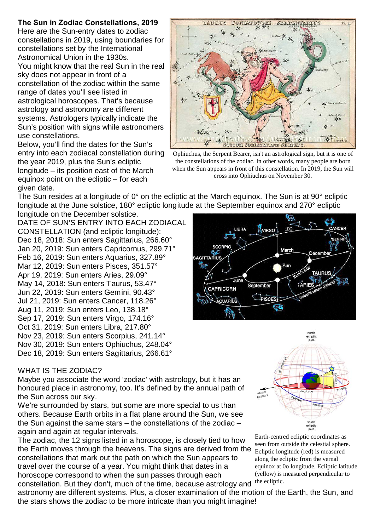## **The Sun in Zodiac Constellations, 2019**

Here are the Sun-entry dates to zodiac constellations in 2019, using boundaries for constellations set by the International Astronomical Union in the 1930s. You might know that the real Sun in the real sky does not appear in front of a constellation of the zodiac within the same range of dates you'll see listed in astrological horoscopes. That's because astrology and astronomy are different systems. Astrologers typically indicate the Sun's position with signs while astronomers use constellations.

Below, you'll find the dates for the Sun's entry into each zodiacal constellation during the year 2019, plus the Sun's ecliptic longitude – its position east of the March equinox point on the ecliptic – for each given date.



Ophiuchus, the Serpent Bearer, isn't an astrological sign, but it is one of the constellations of the zodiac. In other words, many people are born when the Sun appears in front of this constellation. In 2019, the Sun will cross into Ophiuchus on November 30.

The Sun resides at a longitude of 0° on the ecliptic at the March equinox. The Sun is at 90° ecliptic longitude at the June solstice, 180° ecliptic longitude at the September equinox and 270° ecliptic

longitude on the December solstice. DATE OF SUN'S ENTRY INTO EACH ZODIACAL CONSTELLATION (and ecliptic longitude): Dec 18, 2018: Sun enters Sagittarius, 266.60° Jan 20, 2019: Sun enters Capricornus, 299.71° Feb 16, 2019: Sun enters Aquarius, 327.89° Mar 12, 2019: Sun enters Pisces, 351.57° Apr 19, 2019: Sun enters Aries, 29.09° May 14, 2018: Sun enters Taurus, 53.47° Jun 22, 2019: Sun enters Gemini, 90.43° Jul 21, 2019: Sun enters Cancer, 118.26° Aug 11, 2019: Sun enters Leo, 138.18° Sep 17, 2019: Sun enters Virgo, 174.16° Oct 31, 2019: Sun enters Libra, 217.80° Nov 23, 2019: Sun enters Scorpius, 241.14° Nov 30, 2019: Sun enters Ophiuchus, 248.04° Dec 18, 2019: Sun enters Sagittarius, 266.61°



## WHAT IS THE ZODIAC?

Maybe you associate the word 'zodiac' with astrology, but it has an honoured place in astronomy, too. It's defined by the annual path of the Sun across our sky.

We're surrounded by stars, but some are more special to us than others. Because Earth orbits in a flat plane around the Sun, we see the Sun against the same stars – the constellations of the zodiac – again and again at regular intervals.

The zodiac, the 12 signs listed in a horoscope, is closely tied to how the Earth moves through the heavens. The signs are derived from the constellations that mark out the path on which the Sun appears to travel over the course of a year. You might think that dates in a horoscope correspond to when the sun passes through each

constellation. But they don't, much of the time, because astrology and astronomy are different systems. Plus, a closer examination of the motion of the Earth, the Sun, and the stars shows the zodiac to be more intricate than you might imagine!



Earth-centred ecliptic coordinates as seen from outside the celestial sphere. Ecliptic longitude (red) is measured along the ecliptic from the vernal equinox at 0o longitude. Ecliptic latitude (yellow) is measured perpendicular to the ecliptic.